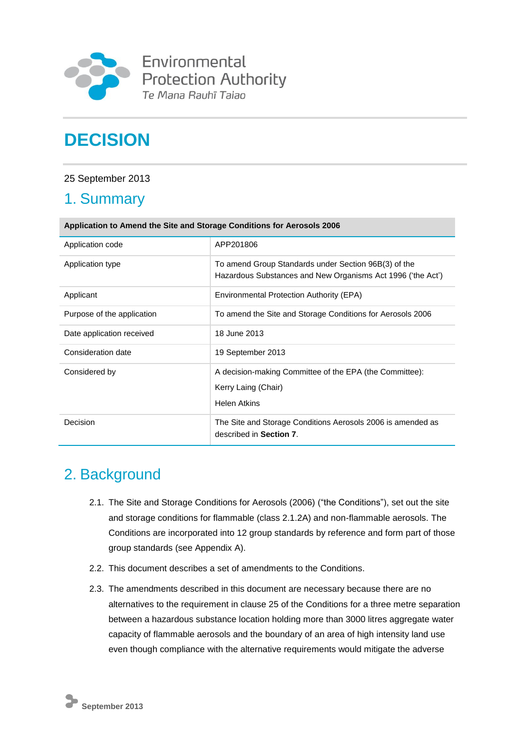

Environmental Protection Authority Te Mana Rauhī Tajao

# **DECISION**

## 25 September 2013

# 1. Summary

| Application to Amend the Site and Storage Conditions for Aerosols 2006 |                                                                                                                     |  |
|------------------------------------------------------------------------|---------------------------------------------------------------------------------------------------------------------|--|
| Application code                                                       | APP201806                                                                                                           |  |
| Application type                                                       | To amend Group Standards under Section 96B(3) of the<br>Hazardous Substances and New Organisms Act 1996 ('the Act') |  |
| Applicant                                                              | Environmental Protection Authority (EPA)                                                                            |  |
| Purpose of the application                                             | To amend the Site and Storage Conditions for Aerosols 2006                                                          |  |
| Date application received                                              | 18 June 2013                                                                                                        |  |
| Consideration date                                                     | 19 September 2013                                                                                                   |  |
| Considered by                                                          | A decision-making Committee of the EPA (the Committee):<br>Kerry Laing (Chair)<br><b>Helen Atkins</b>               |  |
| Decision                                                               | The Site and Storage Conditions Aerosols 2006 is amended as<br>described in Section 7.                              |  |

# 2. Background

- 2.1. The Site and Storage Conditions for Aerosols (2006) ("the Conditions"), set out the site and storage conditions for flammable (class 2.1.2A) and non-flammable aerosols. The Conditions are incorporated into 12 group standards by reference and form part of those group standards (see Appendix A).
- 2.2. This document describes a set of amendments to the Conditions.
- 2.3. The amendments described in this document are necessary because there are no alternatives to the requirement in clause 25 of the Conditions for a three metre separation between a hazardous substance location holding more than 3000 litres aggregate water capacity of flammable aerosols and the boundary of an area of high intensity land use even though compliance with the alternative requirements would mitigate the adverse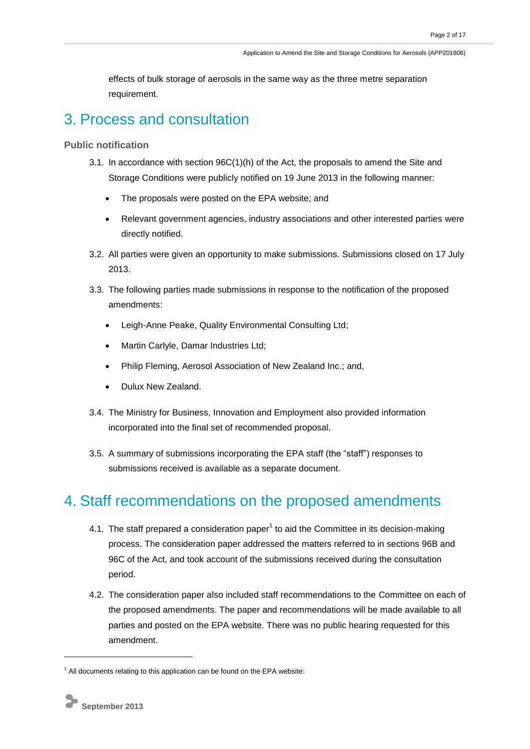effects of bulk storage of aerosols in the same way as the three metre separation requirement.

# 3. Process and consultation

**Public notification**

- 3.1. In accordance with section 96C(1)(h) of the Act, the proposals to amend the Site and Storage Conditions were publicly notified on 19 June 2013 in the following manner:
	- The proposals were posted on the EPA website; and
	- Relevant government agencies, industry associations and other interested parties were directly notified.
- 3.2. All parties were given an opportunity to make submissions. Submissions closed on 17 July 2013.
- 3.3. The following parties made submissions in response to the notification of the proposed amendments:
	- Leigh-Anne Peake, Quality Environmental Consulting Ltd;
	- Martin Carlyle, Damar Industries Ltd;
	- Philip Fleming, Aerosol Association of New Zealand Inc.; and,
	- Dulux New Zealand.
- 3.4. The Ministry for Business, Innovation and Employment also provided information incorporated into the final set of recommended proposal.
- 3.5. A summary of submissions incorporating the EPA staff (the "staff") responses to submissions received is available as a separate document.

# 4. Staff recommendations on the proposed amendments

- 4.1. The staff prepared a consideration paper<sup>1</sup> to aid the Committee in its decision-making process. The consideration paper addressed the matters referred to in sections 96B and 96C of the Act, and took account of the submissions received during the consultation period.
- 4.2. The consideration paper also included staff recommendations to the Committee on each of the proposed amendments. The paper and recommendations will be made available to all parties and posted on the EPA website. There was no public hearing requested for this amendment.

1

 $1$  All documents relating to this application can be found on the EPA website: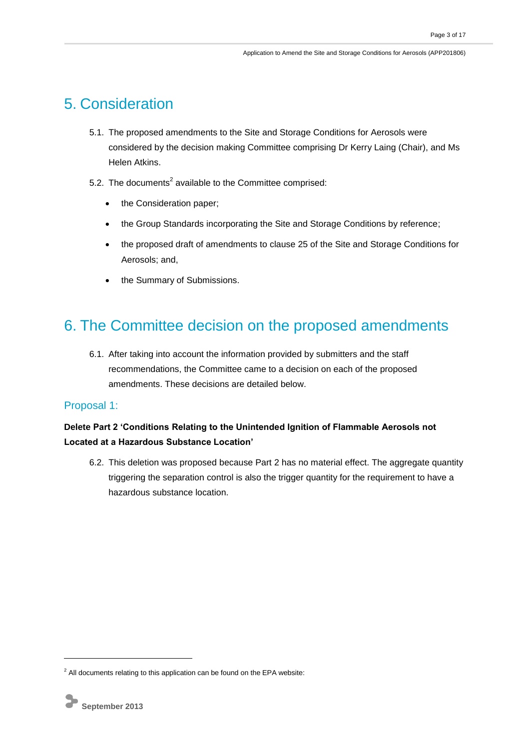# 5. Consideration

- 5.1. The proposed amendments to the Site and Storage Conditions for Aerosols were considered by the decision making Committee comprising Dr Kerry Laing (Chair), and Ms Helen Atkins.
- 5.2. The documents<sup>2</sup> available to the Committee comprised:
	- the Consideration paper;
	- the Group Standards incorporating the Site and Storage Conditions by reference;
	- the proposed draft of amendments to clause 25 of the Site and Storage Conditions for Aerosols; and,
	- the Summary of Submissions.

# 6. The Committee decision on the proposed amendments

6.1. After taking into account the information provided by submitters and the staff recommendations, the Committee came to a decision on each of the proposed amendments. These decisions are detailed below.

### Proposal 1:

### **Delete Part 2 'Conditions Relating to the Unintended Ignition of Flammable Aerosols not Located at a Hazardous Substance Location'**

6.2. This deletion was proposed because Part 2 has no material effect. The aggregate quantity triggering the separation control is also the trigger quantity for the requirement to have a hazardous substance location.

-

 $2$  All documents relating to this application can be found on the EPA website: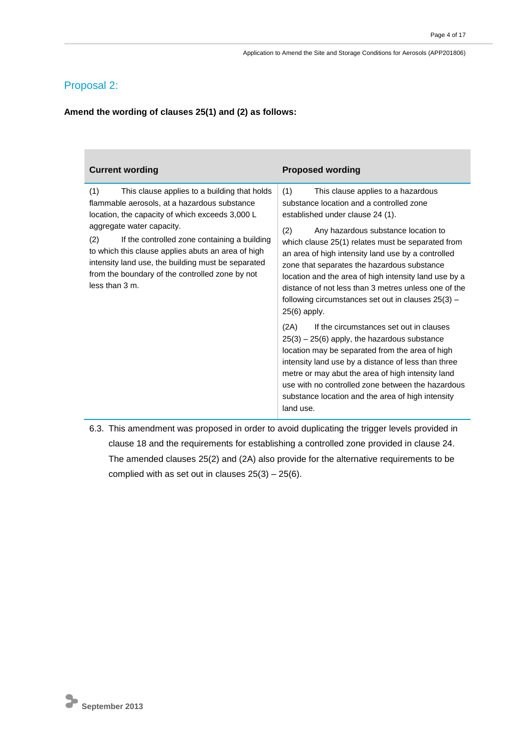# Proposal 2:

**Amend the wording of clauses 25(1) and (2) as follows:**

| <b>Current wording</b>                                                                                                                                                                                                                                                                                                                                                                                                      | <b>Proposed wording</b>                                                                                                                                                                                                                                                                                                                                                                                                                                                                                                                                                                                                                                                                                                                                                                                                                                                                                               |
|-----------------------------------------------------------------------------------------------------------------------------------------------------------------------------------------------------------------------------------------------------------------------------------------------------------------------------------------------------------------------------------------------------------------------------|-----------------------------------------------------------------------------------------------------------------------------------------------------------------------------------------------------------------------------------------------------------------------------------------------------------------------------------------------------------------------------------------------------------------------------------------------------------------------------------------------------------------------------------------------------------------------------------------------------------------------------------------------------------------------------------------------------------------------------------------------------------------------------------------------------------------------------------------------------------------------------------------------------------------------|
| (1)<br>This clause applies to a building that holds<br>flammable aerosols, at a hazardous substance<br>location, the capacity of which exceeds 3,000 L<br>aggregate water capacity.<br>(2)<br>If the controlled zone containing a building<br>to which this clause applies abuts an area of high<br>intensity land use, the building must be separated<br>from the boundary of the controlled zone by not<br>less than 3 m. | (1)<br>This clause applies to a hazardous<br>substance location and a controlled zone<br>established under clause 24 (1).<br>(2)<br>Any hazardous substance location to<br>which clause 25(1) relates must be separated from<br>an area of high intensity land use by a controlled<br>zone that separates the hazardous substance<br>location and the area of high intensity land use by a<br>distance of not less than 3 metres unless one of the<br>following circumstances set out in clauses $25(3)$ -<br>25(6) apply.<br>(2A)<br>If the circumstances set out in clauses<br>$25(3) - 25(6)$ apply, the hazardous substance<br>location may be separated from the area of high<br>intensity land use by a distance of less than three<br>metre or may abut the area of high intensity land<br>use with no controlled zone between the hazardous<br>substance location and the area of high intensity<br>land use. |

6.3. This amendment was proposed in order to avoid duplicating the trigger levels provided in clause 18 and the requirements for establishing a controlled zone provided in clause 24. The amended clauses 25(2) and (2A) also provide for the alternative requirements to be complied with as set out in clauses  $25(3) - 25(6)$ .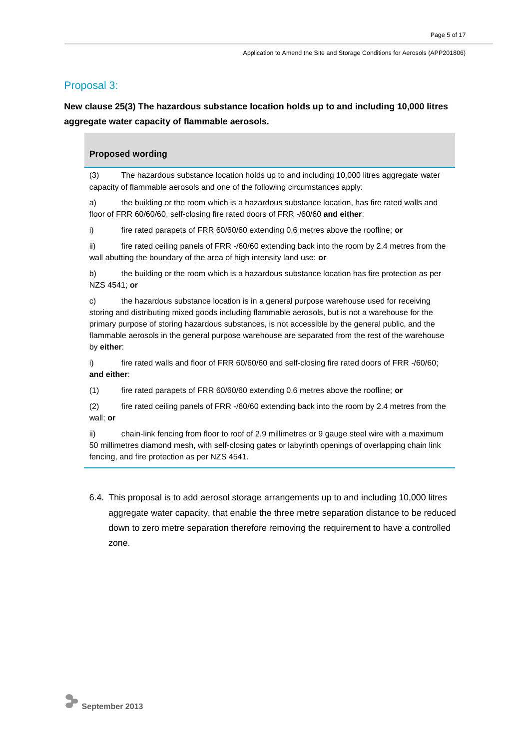### Proposal 3:

**New clause 25(3) The hazardous substance location holds up to and including 10,000 litres aggregate water capacity of flammable aerosols.**

#### **Proposed wording**

(3) The hazardous substance location holds up to and including 10,000 litres aggregate water capacity of flammable aerosols and one of the following circumstances apply:

a) the building or the room which is a hazardous substance location, has fire rated walls and floor of FRR 60/60/60, self-closing fire rated doors of FRR -/60/60 **and either**:

i) fire rated parapets of FRR 60/60/60 extending 0.6 metres above the roofline; **or**

ii) fire rated ceiling panels of FRR -/60/60 extending back into the room by 2.4 metres from the wall abutting the boundary of the area of high intensity land use: **or**

b) the building or the room which is a hazardous substance location has fire protection as per NZS 4541; **or** 

c) the hazardous substance location is in a general purpose warehouse used for receiving storing and distributing mixed goods including flammable aerosols, but is not a warehouse for the primary purpose of storing hazardous substances, is not accessible by the general public, and the flammable aerosols in the general purpose warehouse are separated from the rest of the warehouse by **either**:

i) fire rated walls and floor of FRR 60/60/60 and self-closing fire rated doors of FRR -/60/60; **and either**:

(1) fire rated parapets of FRR 60/60/60 extending 0.6 metres above the roofline; **or**

(2) fire rated ceiling panels of FRR -/60/60 extending back into the room by 2.4 metres from the wall; **or**

ii) chain-link fencing from floor to roof of 2.9 millimetres or 9 gauge steel wire with a maximum 50 millimetres diamond mesh, with self-closing gates or labyrinth openings of overlapping chain link fencing, and fire protection as per NZS 4541.

6.4. This proposal is to add aerosol storage arrangements up to and including 10,000 litres aggregate water capacity, that enable the three metre separation distance to be reduced down to zero metre separation therefore removing the requirement to have a controlled zone.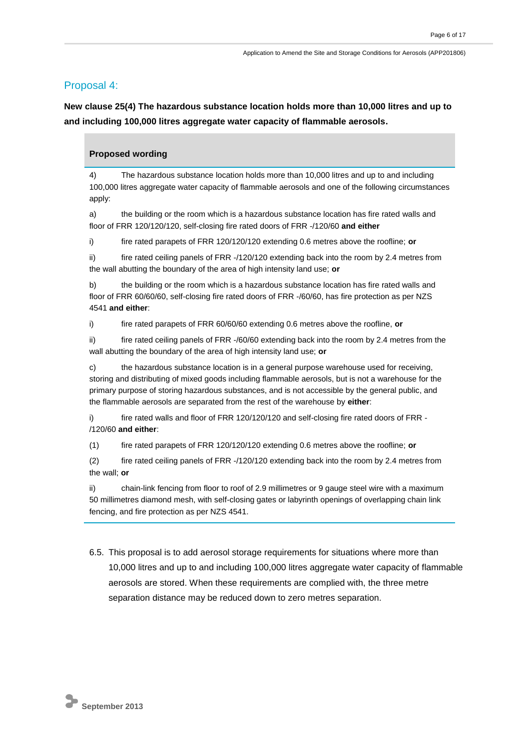### Proposal 4:

**New clause 25(4) The hazardous substance location holds more than 10,000 litres and up to and including 100,000 litres aggregate water capacity of flammable aerosols.**

#### **Proposed wording**

4) The hazardous substance location holds more than 10,000 litres and up to and including 100,000 litres aggregate water capacity of flammable aerosols and one of the following circumstances apply:

a) the building or the room which is a hazardous substance location has fire rated walls and floor of FRR 120/120/120, self-closing fire rated doors of FRR -/120/60 **and either**

i) fire rated parapets of FRR 120/120/120 extending 0.6 metres above the roofline; **or**

ii) fire rated ceiling panels of FRR -/120/120 extending back into the room by 2.4 metres from the wall abutting the boundary of the area of high intensity land use; **or**

b) the building or the room which is a hazardous substance location has fire rated walls and floor of FRR 60/60/60, self-closing fire rated doors of FRR -/60/60, has fire protection as per NZS 4541 **and either**:

i) fire rated parapets of FRR 60/60/60 extending 0.6 metres above the roofline, **or**

ii) fire rated ceiling panels of FRR  $-$ /60/60 extending back into the room by 2.4 metres from the wall abutting the boundary of the area of high intensity land use; **or**

c) the hazardous substance location is in a general purpose warehouse used for receiving, storing and distributing of mixed goods including flammable aerosols, but is not a warehouse for the primary purpose of storing hazardous substances, and is not accessible by the general public, and the flammable aerosols are separated from the rest of the warehouse by **either**:

i) fire rated walls and floor of FRR 120/120/120 and self-closing fire rated doors of FRR -/120/60 **and either**:

(1) fire rated parapets of FRR 120/120/120 extending 0.6 metres above the roofline; **or** 

(2) fire rated ceiling panels of FRR -/120/120 extending back into the room by 2.4 metres from the wall; **or**

ii) chain-link fencing from floor to roof of 2.9 millimetres or 9 gauge steel wire with a maximum 50 millimetres diamond mesh, with self-closing gates or labyrinth openings of overlapping chain link fencing, and fire protection as per NZS 4541.

6.5. This proposal is to add aerosol storage requirements for situations where more than 10,000 litres and up to and including 100,000 litres aggregate water capacity of flammable aerosols are stored. When these requirements are complied with, the three metre separation distance may be reduced down to zero metres separation.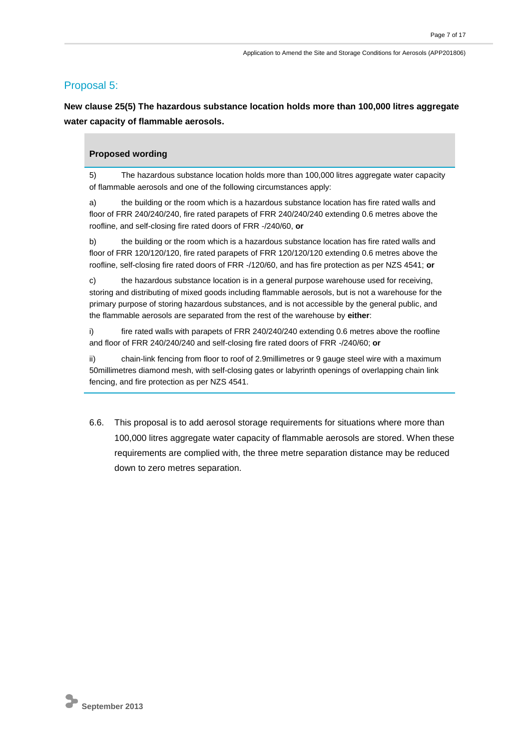#### Proposal 5:

**New clause 25(5) The hazardous substance location holds more than 100,000 litres aggregate water capacity of flammable aerosols.**

#### **Proposed wording**

5) The hazardous substance location holds more than 100,000 litres aggregate water capacity of flammable aerosols and one of the following circumstances apply:

a) the building or the room which is a hazardous substance location has fire rated walls and floor of FRR 240/240/240, fire rated parapets of FRR 240/240/240 extending 0.6 metres above the roofline, and self-closing fire rated doors of FRR -/240/60, **or** 

b) the building or the room which is a hazardous substance location has fire rated walls and floor of FRR 120/120/120, fire rated parapets of FRR 120/120/120 extending 0.6 metres above the roofline, self-closing fire rated doors of FRR -/120/60, and has fire protection as per NZS 4541; **or** 

c) the hazardous substance location is in a general purpose warehouse used for receiving, storing and distributing of mixed goods including flammable aerosols, but is not a warehouse for the primary purpose of storing hazardous substances, and is not accessible by the general public, and the flammable aerosols are separated from the rest of the warehouse by **either**:

i) fire rated walls with parapets of FRR 240/240/240 extending 0.6 metres above the roofline and floor of FRR 240/240/240 and self-closing fire rated doors of FRR -/240/60; **or**

ii) chain-link fencing from floor to roof of 2.9millimetres or 9 gauge steel wire with a maximum 50millimetres diamond mesh, with self-closing gates or labyrinth openings of overlapping chain link fencing, and fire protection as per NZS 4541.

6.6. This proposal is to add aerosol storage requirements for situations where more than 100,000 litres aggregate water capacity of flammable aerosols are stored. When these requirements are complied with, the three metre separation distance may be reduced down to zero metres separation.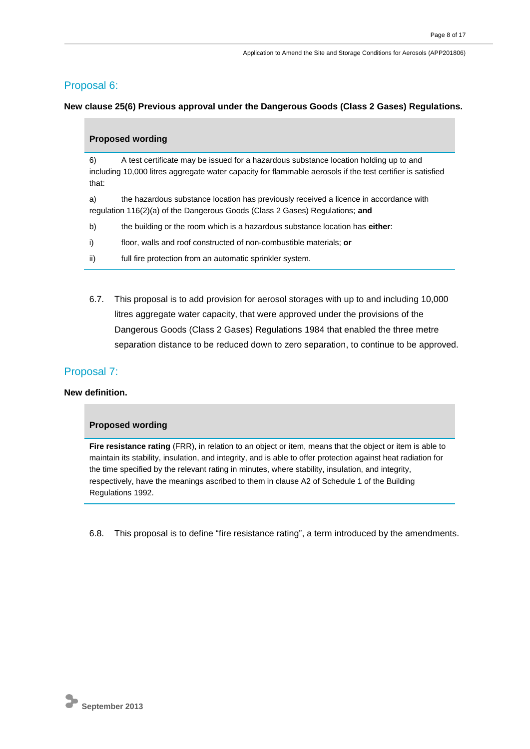### Proposal 6:

**New clause 25(6) Previous approval under the Dangerous Goods (Class 2 Gases) Regulations.**

| <b>Proposed wording</b>                                                                                                                                                     |                                                                                                                                                                                                     |  |
|-----------------------------------------------------------------------------------------------------------------------------------------------------------------------------|-----------------------------------------------------------------------------------------------------------------------------------------------------------------------------------------------------|--|
| 6)<br>that:                                                                                                                                                                 | A test certificate may be issued for a hazardous substance location holding up to and<br>including 10,000 litres aggregate water capacity for flammable aerosols if the test certifier is satisfied |  |
| the hazardous substance location has previously received a licence in accordance with<br>a)<br>regulation 116(2)(a) of the Dangerous Goods (Class 2 Gases) Regulations; and |                                                                                                                                                                                                     |  |
| b)                                                                                                                                                                          | the building or the room which is a hazardous substance location has either:                                                                                                                        |  |
| i)                                                                                                                                                                          | floor, walls and roof constructed of non-combustible materials; or                                                                                                                                  |  |
| ii)                                                                                                                                                                         | full fire protection from an automatic sprinkler system.                                                                                                                                            |  |

6.7. This proposal is to add provision for aerosol storages with up to and including 10,000 litres aggregate water capacity, that were approved under the provisions of the Dangerous Goods (Class 2 Gases) Regulations 1984 that enabled the three metre separation distance to be reduced down to zero separation, to continue to be approved.

### Proposal 7:

#### **New definition.**

#### **Proposed wording**

Fire resistance rating (FRR), in relation to an object or item, means that the object or item is able to maintain its stability, insulation, and integrity, and is able to offer protection against heat radiation for the time specified by the relevant rating in minutes, where stability, insulation, and integrity, respectively, have the meanings ascribed to them in clause A2 of Schedule 1 of the Building Regulations 1992.

6.8. This proposal is to define "fire resistance rating", a term introduced by the amendments.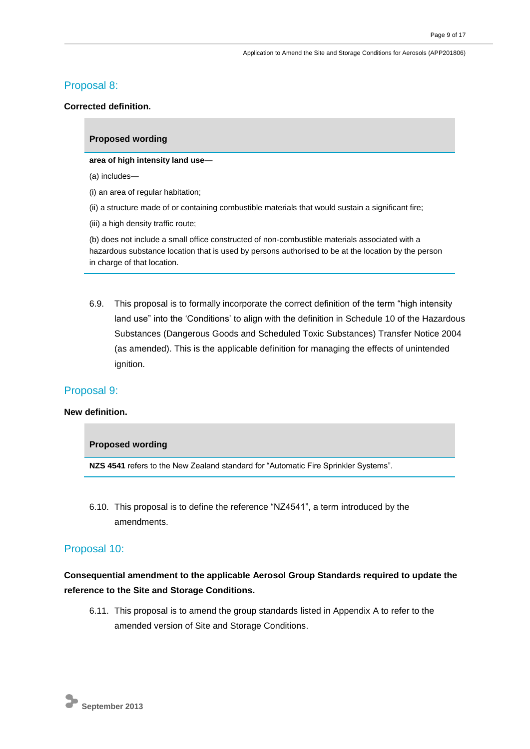### Proposal 8:

#### **Corrected definition.**

#### **Proposed wording**

**area of high intensity land use**—

(a) includes—

(i) an area of regular habitation;

(ii) a structure made of or containing combustible materials that would sustain a significant fire;

(iii) a high density traffic route;

(b) does not include a small office constructed of non-combustible materials associated with a hazardous substance location that is used by persons authorised to be at the location by the person in charge of that location.

6.9. This proposal is to formally incorporate the correct definition of the term "high intensity land use" into the 'Conditions' to align with the definition in Schedule 10 of the Hazardous Substances (Dangerous Goods and Scheduled Toxic Substances) Transfer Notice 2004 (as amended). This is the applicable definition for managing the effects of unintended ignition.

#### Proposal 9:

#### **New definition.**

#### **Proposed wording**

**NZS 4541** refers to the New Zealand standard for "Automatic Fire Sprinkler Systems".

6.10. This proposal is to define the reference "NZ4541", a term introduced by the amendments.

#### Proposal 10:

### **Consequential amendment to the applicable Aerosol Group Standards required to update the reference to the Site and Storage Conditions.**

6.11. This proposal is to amend the group standards listed in Appendix A to refer to the amended version of Site and Storage Conditions.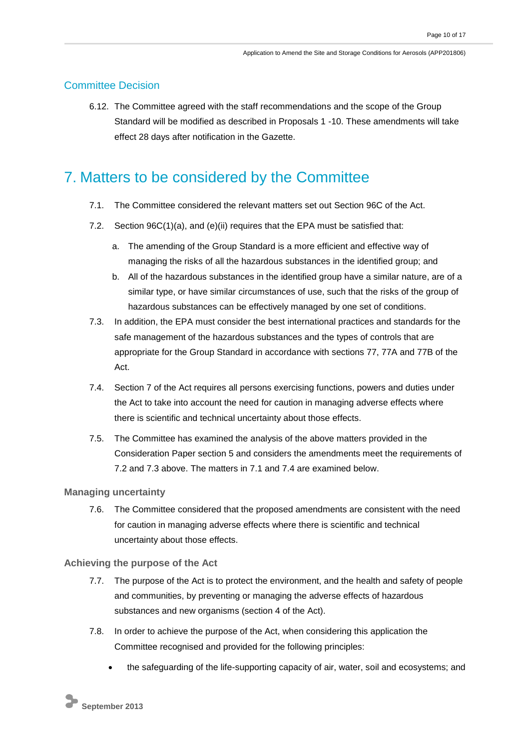### Committee Decision

6.12. The Committee agreed with the staff recommendations and the scope of the Group Standard will be modified as described in Proposals 1 -10. These amendments will take effect 28 days after notification in the Gazette.

# 7. Matters to be considered by the Committee

- 7.1. The Committee considered the relevant matters set out Section 96C of the Act.
- 7.2. Section 96C(1)(a), and (e)(ii) requires that the EPA must be satisfied that:
	- a. The amending of the Group Standard is a more efficient and effective way of managing the risks of all the hazardous substances in the identified group; and
	- b. All of the hazardous substances in the identified group have a similar nature, are of a similar type, or have similar circumstances of use, such that the risks of the group of hazardous substances can be effectively managed by one set of conditions.
- 7.3. In addition, the EPA must consider the best international practices and standards for the safe management of the hazardous substances and the types of controls that are appropriate for the Group Standard in accordance with sections 77, 77A and 77B of the Act.
- 7.4. Section 7 of the Act requires all persons exercising functions, powers and duties under the Act to take into account the need for caution in managing adverse effects where there is scientific and technical uncertainty about those effects.
- 7.5. The Committee has examined the analysis of the above matters provided in the Consideration Paper section 5 and considers the amendments meet the requirements of 7.2 and 7.3 above. The matters in 7.1 and 7.4 are examined below.

#### **Managing uncertainty**

7.6. The Committee considered that the proposed amendments are consistent with the need for caution in managing adverse effects where there is scientific and technical uncertainty about those effects.

#### **Achieving the purpose of the Act**

- 7.7. The purpose of the Act is to protect the environment, and the health and safety of people and communities, by preventing or managing the adverse effects of hazardous substances and new organisms (section 4 of the Act).
- 7.8. In order to achieve the purpose of the Act, when considering this application the Committee recognised and provided for the following principles:
	- the safeguarding of the life-supporting capacity of air, water, soil and ecosystems; and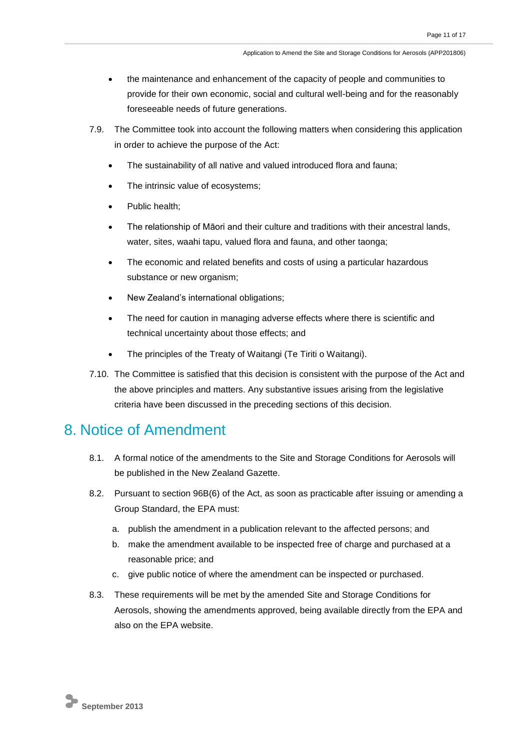- the maintenance and enhancement of the capacity of people and communities to provide for their own economic, social and cultural well-being and for the reasonably foreseeable needs of future generations.
- 7.9. The Committee took into account the following matters when considering this application in order to achieve the purpose of the Act:
	- The sustainability of all native and valued introduced flora and fauna;
	- The intrinsic value of ecosystems;
	- Public health;
	- The relationship of Māori and their culture and traditions with their ancestral lands, water, sites, waahi tapu, valued flora and fauna, and other taonga;
	- The economic and related benefits and costs of using a particular hazardous substance or new organism;
	- New Zealand's international obligations;
	- The need for caution in managing adverse effects where there is scientific and technical uncertainty about those effects; and
	- The principles of the Treaty of Waitangi (Te Tiriti o Waitangi).
- 7.10. The Committee is satisfied that this decision is consistent with the purpose of the Act and the above principles and matters. Any substantive issues arising from the legislative criteria have been discussed in the preceding sections of this decision.

# 8. Notice of Amendment

- 8.1. A formal notice of the amendments to the Site and Storage Conditions for Aerosols will be published in the New Zealand Gazette.
- 8.2. Pursuant to section 96B(6) of the Act, as soon as practicable after issuing or amending a Group Standard, the EPA must:
	- a. publish the amendment in a publication relevant to the affected persons; and
	- b. make the amendment available to be inspected free of charge and purchased at a reasonable price; and
	- c. give public notice of where the amendment can be inspected or purchased.
- 8.3. These requirements will be met by the amended Site and Storage Conditions for Aerosols, showing the amendments approved, being available directly from the EPA and also on the EPA website.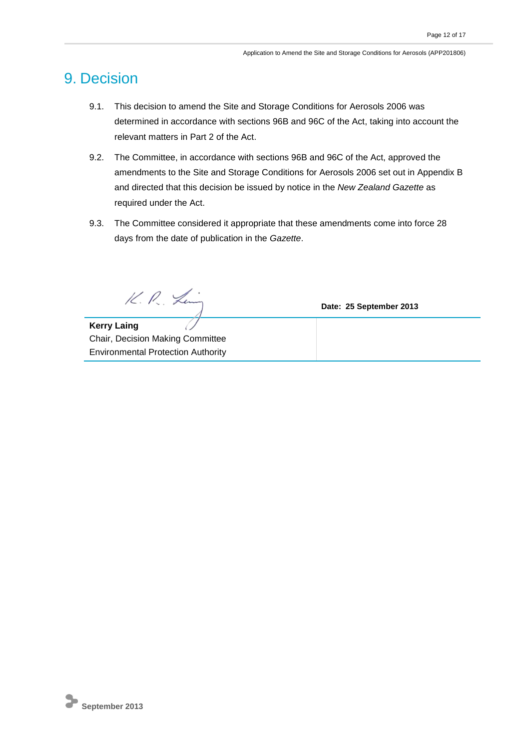# 9. Decision

- 9.1. This decision to amend the Site and Storage Conditions for Aerosols 2006 was determined in accordance with sections 96B and 96C of the Act, taking into account the relevant matters in Part 2 of the Act.
- 9.2. The Committee, in accordance with sections 96B and 96C of the Act, approved the amendments to the Site and Storage Conditions for Aerosols 2006 set out in Appendix B and directed that this decision be issued by notice in the *New Zealand Gazette* as required under the Act.
- 9.3. The Committee considered it appropriate that these amendments come into force 28 days from the date of publication in the *Gazette*.

K. P. Ling

**Date: 25 September 2013**

**Kerry Laing**  Chair, Decision Making Committee Environmental Protection Authority

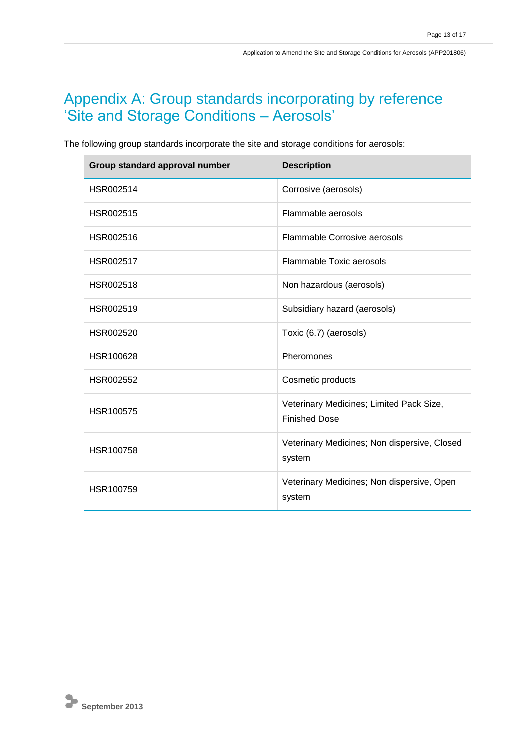# Appendix A: Group standards incorporating by reference 'Site and Storage Conditions – Aerosols'

The following group standards incorporate the site and storage conditions for aerosols:

| Group standard approval number | <b>Description</b>                                               |
|--------------------------------|------------------------------------------------------------------|
| HSR002514                      | Corrosive (aerosols)                                             |
| HSR002515                      | Flammable aerosols                                               |
| HSR002516                      | Flammable Corrosive aerosols                                     |
| HSR002517                      | Flammable Toxic aerosols                                         |
| HSR002518                      | Non hazardous (aerosols)                                         |
| HSR002519                      | Subsidiary hazard (aerosols)                                     |
| HSR002520                      | Toxic (6.7) (aerosols)                                           |
| HSR100628                      | Pheromones                                                       |
| HSR002552                      | Cosmetic products                                                |
| HSR100575                      | Veterinary Medicines; Limited Pack Size,<br><b>Finished Dose</b> |
| HSR100758                      | Veterinary Medicines; Non dispersive, Closed<br>system           |
| HSR100759                      | Veterinary Medicines; Non dispersive, Open<br>system             |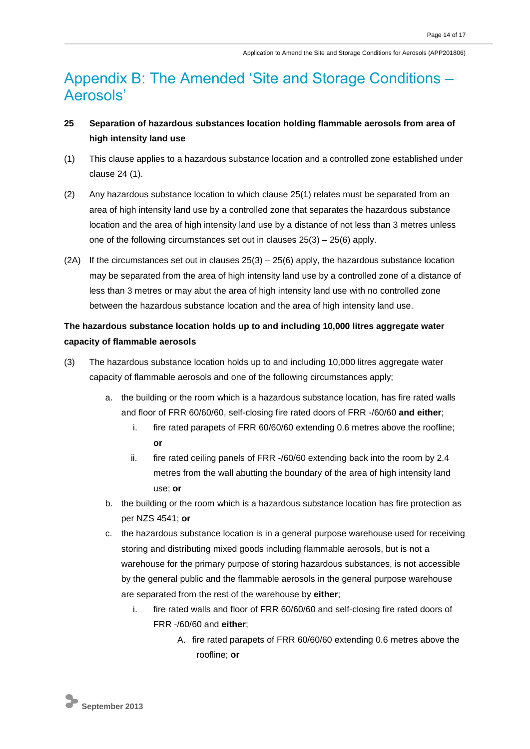# Appendix B: The Amended 'Site and Storage Conditions – Aerosols'

## **25 Separation of hazardous substances location holding flammable aerosols from area of high intensity land use**

- (1) This clause applies to a hazardous substance location and a controlled zone established under clause 24 (1).
- (2) Any hazardous substance location to which clause 25(1) relates must be separated from an area of high intensity land use by a controlled zone that separates the hazardous substance location and the area of high intensity land use by a distance of not less than 3 metres unless one of the following circumstances set out in clauses 25(3) – 25(6) apply.
- (2A) If the circumstances set out in clauses  $25(3) 25(6)$  apply, the hazardous substance location may be separated from the area of high intensity land use by a controlled zone of a distance of less than 3 metres or may abut the area of high intensity land use with no controlled zone between the hazardous substance location and the area of high intensity land use.

## **The hazardous substance location holds up to and including 10,000 litres aggregate water capacity of flammable aerosols**

- (3) The hazardous substance location holds up to and including 10,000 litres aggregate water capacity of flammable aerosols and one of the following circumstances apply;
	- a. the building or the room which is a hazardous substance location, has fire rated walls and floor of FRR 60/60/60, self-closing fire rated doors of FRR -/60/60 **and either**;
		- i. fire rated parapets of FRR 60/60/60 extending 0.6 metres above the roofline; **or**
		- ii. fire rated ceiling panels of FRR -/60/60 extending back into the room by 2.4 metres from the wall abutting the boundary of the area of high intensity land use; **or**
	- b. the building or the room which is a hazardous substance location has fire protection as per NZS 4541; **or**
	- c. the hazardous substance location is in a general purpose warehouse used for receiving storing and distributing mixed goods including flammable aerosols, but is not a warehouse for the primary purpose of storing hazardous substances, is not accessible by the general public and the flammable aerosols in the general purpose warehouse are separated from the rest of the warehouse by **either**;
		- i. fire rated walls and floor of FRR 60/60/60 and self-closing fire rated doors of FRR -/60/60 and **either**;
			- A. fire rated parapets of FRR 60/60/60 extending 0.6 metres above the roofline; **or**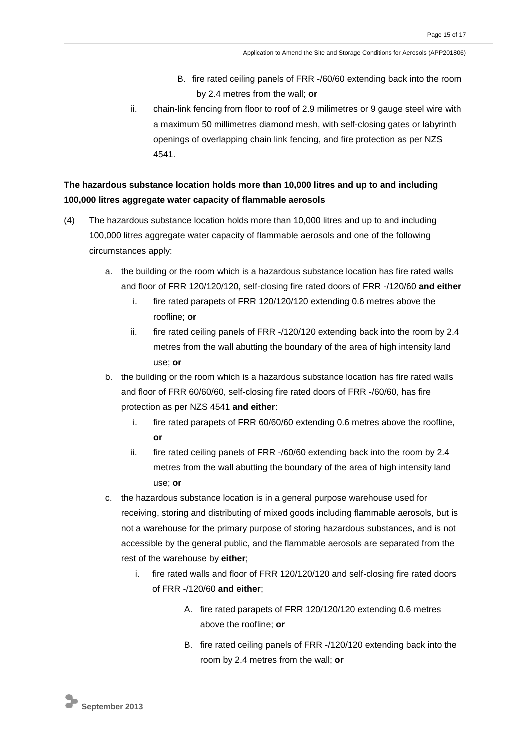- B. fire rated ceiling panels of FRR -/60/60 extending back into the room by 2.4 metres from the wall; **or**
- ii. chain-link fencing from floor to roof of 2.9 milimetres or 9 gauge steel wire with a maximum 50 millimetres diamond mesh, with self-closing gates or labyrinth openings of overlapping chain link fencing, and fire protection as per NZS 4541.

### **The hazardous substance location holds more than 10,000 litres and up to and including 100,000 litres aggregate water capacity of flammable aerosols**

- (4) The hazardous substance location holds more than 10,000 litres and up to and including 100,000 litres aggregate water capacity of flammable aerosols and one of the following circumstances apply:
	- a. the building or the room which is a hazardous substance location has fire rated walls and floor of FRR 120/120/120, self-closing fire rated doors of FRR -/120/60 **and either**
		- i. fire rated parapets of FRR 120/120/120 extending 0.6 metres above the roofline; **or**
		- ii. fire rated ceiling panels of FRR -/120/120 extending back into the room by 2.4 metres from the wall abutting the boundary of the area of high intensity land use; **or**
	- b. the building or the room which is a hazardous substance location has fire rated walls and floor of FRR 60/60/60, self-closing fire rated doors of FRR -/60/60, has fire protection as per NZS 4541 **and either**:
		- i. fire rated parapets of FRR 60/60/60 extending 0.6 metres above the roofline, **or**
		- ii. fire rated ceiling panels of FRR -/60/60 extending back into the room by 2.4 metres from the wall abutting the boundary of the area of high intensity land use; **or**
	- c. the hazardous substance location is in a general purpose warehouse used for receiving, storing and distributing of mixed goods including flammable aerosols, but is not a warehouse for the primary purpose of storing hazardous substances, and is not accessible by the general public, and the flammable aerosols are separated from the rest of the warehouse by **either**;
		- i. fire rated walls and floor of FRR 120/120/120 and self-closing fire rated doors of FRR -/120/60 **and either**;
			- A. fire rated parapets of FRR 120/120/120 extending 0.6 metres above the roofline; **or**
			- B. fire rated ceiling panels of FRR -/120/120 extending back into the room by 2.4 metres from the wall; **or**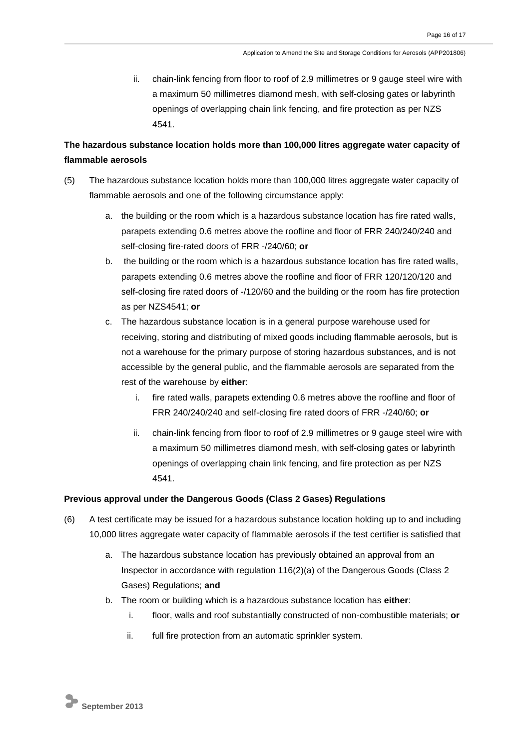ii. chain-link fencing from floor to roof of 2.9 millimetres or 9 gauge steel wire with a maximum 50 millimetres diamond mesh, with self-closing gates or labyrinth openings of overlapping chain link fencing, and fire protection as per NZS 4541.

## **The hazardous substance location holds more than 100,000 litres aggregate water capacity of flammable aerosols**

- (5) The hazardous substance location holds more than 100,000 litres aggregate water capacity of flammable aerosols and one of the following circumstance apply:
	- a. the building or the room which is a hazardous substance location has fire rated walls, parapets extending 0.6 metres above the roofline and floor of FRR 240/240/240 and self-closing fire-rated doors of FRR -/240/60; **or**
	- b. the building or the room which is a hazardous substance location has fire rated walls, parapets extending 0.6 metres above the roofline and floor of FRR 120/120/120 and self-closing fire rated doors of -/120/60 and the building or the room has fire protection as per NZS4541; **or**
	- c. The hazardous substance location is in a general purpose warehouse used for receiving, storing and distributing of mixed goods including flammable aerosols, but is not a warehouse for the primary purpose of storing hazardous substances, and is not accessible by the general public, and the flammable aerosols are separated from the rest of the warehouse by **either**:
		- i. fire rated walls, parapets extending 0.6 metres above the roofline and floor of FRR 240/240/240 and self-closing fire rated doors of FRR -/240/60; **or**
		- ii. chain-link fencing from floor to roof of 2.9 millimetres or 9 gauge steel wire with a maximum 50 millimetres diamond mesh, with self-closing gates or labyrinth openings of overlapping chain link fencing, and fire protection as per NZS 4541.

#### **Previous approval under the Dangerous Goods (Class 2 Gases) Regulations**

- (6) A test certificate may be issued for a hazardous substance location holding up to and including 10,000 litres aggregate water capacity of flammable aerosols if the test certifier is satisfied that
	- a. The hazardous substance location has previously obtained an approval from an Inspector in accordance with regulation 116(2)(a) of the Dangerous Goods (Class 2 Gases) Regulations; **and**
	- b. The room or building which is a hazardous substance location has **either**:
		- i. floor, walls and roof substantially constructed of non-combustible materials; **or**
		- ii. full fire protection from an automatic sprinkler system.